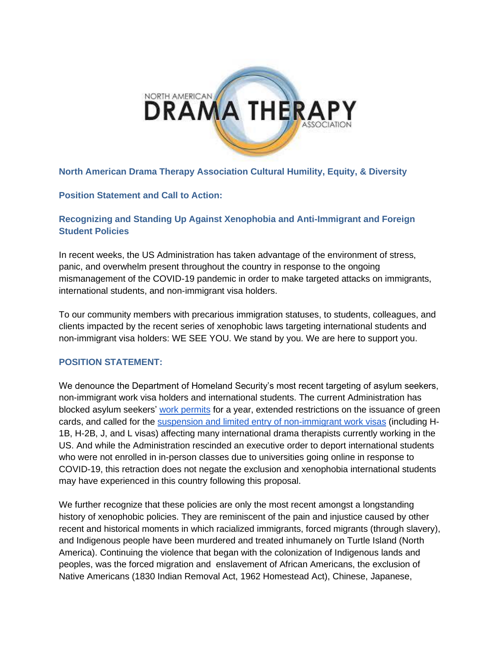

### **North American Drama Therapy Association Cultural Humility, Equity, & Diversity**

#### **Position Statement and Call to Action:**

## **Recognizing and Standing Up Against Xenophobia and Anti-Immigrant and Foreign Student Policies**

In recent weeks, the US Administration has taken advantage of the environment of stress, panic, and overwhelm present throughout the country in response to the ongoing mismanagement of the COVID-19 pandemic in order to make targeted attacks on immigrants, international students, and non-immigrant visa holders.

To our community members with precarious immigration statuses, to students, colleagues, and clients impacted by the recent series of xenophobic laws targeting international students and non-immigrant visa holders: WE SEE YOU. We stand by you. We are here to support you.

### **POSITION STATEMENT:**

We denounce the Department of Homeland Security's most recent targeting of asylum seekers, non-immigrant work visa holders and international students. The current Administration has blocked asylum seekers' [work permits](https://immigrationimpact.com/2020/06/24/asylum-seeker-work-permit/#.XwveuhOSmMq) for a year, extended restrictions on the issuance of green cards, and called for the [suspension and limited entry of non-immigrant work](https://www.nytimes.com/2020/06/22/us/politics/trump-h1b-work-visas.html) [visas](https://www.nytimes.com/2020/06/22/us/politics/trump-h1b-work-visas.html) (including H-1B, H-2B, J, and L visas) affecting many international drama therapists currently working in the US. [And while the Administration rescinded an executive order to deport international students](https://www.ice.gov/doclib/sevis/pdf/bcm2007-01.pdf.)  [who were not enrolled in in-person classes due to universities going online in response to](https://www.ice.gov/doclib/sevis/pdf/bcm2007-01.pdf.)  [COVID-19,](https://www.ice.gov/doclib/sevis/pdf/bcm2007-01.pdf.) this retraction does not negate the exclusion and xenophobia international students may have experienced in this country following this proposal.

We further recognize that these policies are only the most recent amongst a longstanding history of xenophobic policies. They are reminiscent of the pain and injustice caused by other recent and historical moments in which racialized immigrants, forced migrants (through slavery), and Indigenous people have been murdered and treated inhumanely on Turtle Island (North America). Continuing the violence that began with the colonization of Indigenous lands and peoples, was the forced migration and enslavement of African Americans, the exclusion of Native Americans (1830 Indian Removal Act, 1962 Homestead Act), Chinese, Japanese,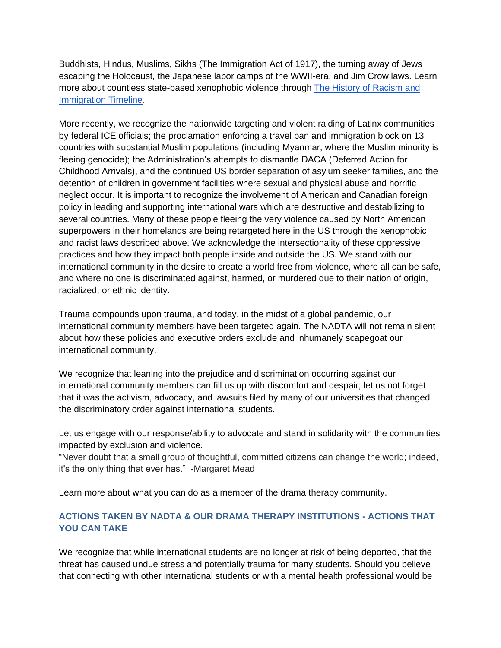Buddhists, Hindus, Muslims, Sikhs (The Immigration Act of 1917), the turning away of Jews escaping the Holocaust, the Japanese labor camps of the WWII-era, and Jim Crow laws. Learn more about countless state-based xenophobic violence through [The History of Racism and](https://www.racialequitytools.org/resourcefiles/racismimmigration-timeline.pdf)  [Immigration Timeline.](https://www.racialequitytools.org/resourcefiles/racismimmigration-timeline.pdf)

More recently, we recognize the nationwide targeting and violent raiding of Latinx communities by federal ICE officials; the proclamation enforcing a travel ban and immigration block on 13 countries with substantial Muslim populations (including Myanmar, where the Muslim minority is fleeing genocide); the Administration's attempts to dismantle DACA (Deferred Action for Childhood Arrivals), and the continued US border separation of asylum seeker families, and the detention of children in government facilities where sexual and physical abuse and horrific neglect occur. It is important to recognize the involvement of American and Canadian foreign policy in leading and supporting international wars which are destructive and destabilizing to several countries. Many of these people fleeing the very violence caused by North American superpowers in their homelands are being retargeted here in the US through the xenophobic and racist laws described above. We acknowledge the intersectionality of these oppressive practices and how they impact both people inside and outside the US. We stand with our international community in the desire to create a world free from violence, where all can be safe, and where no one is discriminated against, harmed, or murdered due to their nation of origin, racialized, or ethnic identity.

Trauma compounds upon trauma, and today, in the midst of a global pandemic, our international community members have been targeted again. The NADTA will not remain silent about how these policies and executive orders exclude and inhumanely scapegoat our international community.

We recognize that leaning into the prejudice and discrimination occurring against our international community members can fill us up with discomfort and despair; let us not forget that it was the activism, advocacy, and lawsuits filed by many of our universities that changed the discriminatory order against international students.

Let us engage with our response/ability to advocate and stand in solidarity with the communities impacted by exclusion and violence.

"Never doubt that a small group of thoughtful, committed citizens can change the world; indeed, it's the only thing that ever has." -Margaret Mead

Learn more about what you can do as a member of the drama therapy community.

### **ACTIONS TAKEN BY NADTA & OUR DRAMA THERAPY INSTITUTIONS - ACTIONS THAT YOU CAN TAKE**

We recognize that while international students are no longer at risk of being deported, that the threat has caused undue stress and potentially trauma for many students. Should you believe that connecting with other international students or with a mental health professional would be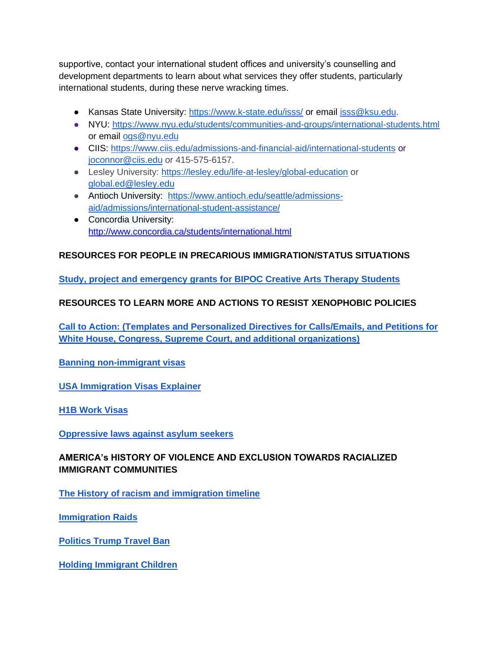supportive, contact your international student offices and university's counselling and development departments to learn about what services they offer students, particularly international students, during these nerve wracking times.

- Kansas State University:<https://www.k-state.edu/isss/> or email [isss@ksu.edu.](mailto:isss@ksu.edu)
- NYU:<https://www.nyu.edu/students/communities-and-groups/international-students.html> or email [ogs@nyu.edu](mailto:ogs@nyu.edu)
- CIIS:<https://www.ciis.edu/admissions-and-financial-aid/international-students> or [joconnor@ciis.edu](mailto:joconnor@ciis.edu) or 415-575-6157.
- Lesley University:<https://lesley.edu/life-at-lesley/global-education> or [global.ed@lesley.edu](mailto:global.ed@lesley.edu)
- Antioch University: [https://www.antioch.edu/seattle/admissions](https://www.antioch.edu/seattle/admissions-aid/admissions/international-student-assistance/)[aid/admissions/international-student-assistance/](https://www.antioch.edu/seattle/admissions-aid/admissions/international-student-assistance/)
- Concordia University: <http://www.concordia.ca/students/international.html>

# **RESOURCES FOR PEOPLE IN PRECARIOUS IMMIGRATION/STATUS SITUATIONS**

**[Study, project and emergency grants for BIPOC Creative Arts Therapy Students](https://www.arttherapystudies.com/?fbclid=IwAR2ZkFy59Mk_vR9fX9ptreRIyBAgrBVVvU9T6Php6rDC1tWxFxPFhZ6S3R4)** 

# **RESOURCES TO LEARN MORE AND ACTIONS TO RESIST XENOPHOBIC POLICIES**

**Call to Actio[n: \(Templates and Personalized Directives for Calls/Emails, and Petitions for](https://docs.google.com/document/d/1237MqzCVFgSjB15PKk8hCfF4ZWhrwbcWe0P4rgQkONE/mobilebasic)  [White House, Congress, Supreme Court, and additional organizations\)](https://docs.google.com/document/d/1237MqzCVFgSjB15PKk8hCfF4ZWhrwbcWe0P4rgQkONE/mobilebasic)**

**[Banning non-immigrant visas](https://www.stilt.com/blog/2020/06/june-2020-h1b-visa-ban/)**

**[USA Immigration Visas Explainer](https://www.reuters.com/article/us-usa-immigration-visas-explainer/explainer-who-is-affected-by-trumps-suspension-of-foreign-work-visas-idUSKBN23U302)**

**[H1B Work Visas](https://www.nytimes.com/2020/06/22/us/politics/trump-h1b-work-visas.html)**

**[Oppressive laws against asylum seekers](https://immigrationimpact.com/2020/06/24/asylum-seeker-work-permit/#.XwveuhOSmMq)**

## **AMERICA's HISTORY OF VIOLENCE AND EXCLUSION TOWARDS RACIALIZED IMMIGRANT COMMUNITIES**

**[The History of racism and immigration timeline](https://www.racialequitytools.org/resourcefiles/racismimmigration-timeline.pdf)** 

**[Immigration Raids](https://www.nytimes.com/2019/07/14/us/ice-immigration-raids.html)**

**[Politics Trump Travel Ban](https://www.nytimes.com/2020/01/31/us/politics/trump-travel-ban.html)**

**[Holding Immigrant Children](https://www.newyorker.com/news/q-and-a/inside-a-texas-building-where-the-government-is-holding-immigrant-children)**